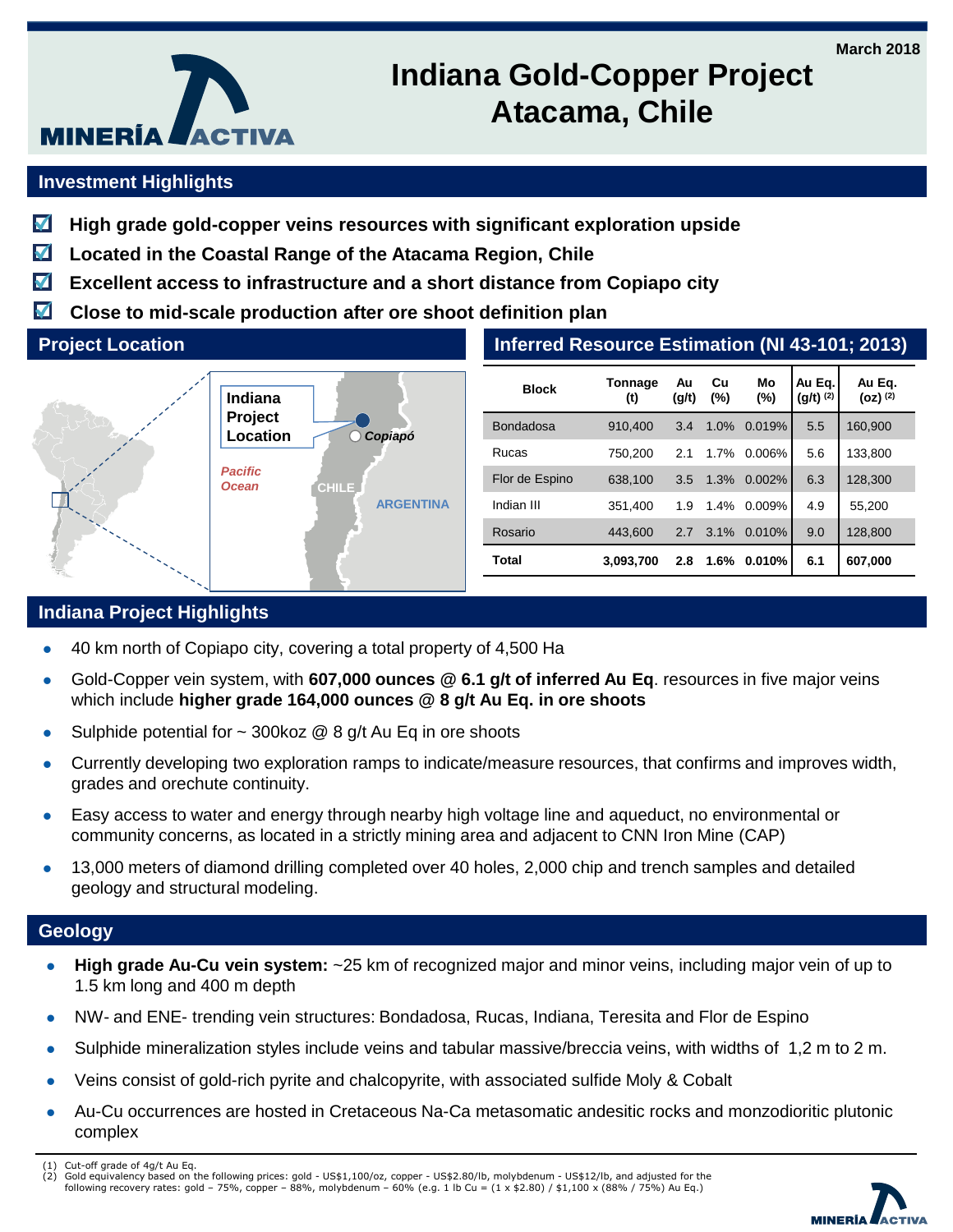

# **Indiana Gold-Copper Project Atacama, Chile**

## **Investment Highlights**

- **High grade gold-copper veins resources with significant exploration upside** M
- M **Located in the Coastal Range of the Atacama Region, Chile**
- М **Excellent access to infrastructure and a short distance from Copiapo city**
- $\blacktriangledown$ **Close to mid-scale production after ore shoot definition plan**

#### **Project Location**



| Inferred Resource Estimation (NI 43-101; 2013) |                |             |              |              |                         |                        |
|------------------------------------------------|----------------|-------------|--------------|--------------|-------------------------|------------------------|
| <b>Block</b>                                   | Tonnage<br>(t) | Au<br>(g/t) | Cu<br>$(\%)$ | Mo<br>$(\%)$ | Au Eg.<br>$(g/t)^{(2)}$ | Au Eq.<br>$(oz)$ $(2)$ |
| <b>Bondadosa</b>                               | 910,400        | 3.4         | 1.0%         | 0.019%       | 5.5                     | 160,900                |
| Rucas                                          | 750,200        | 2.1         | 1.7%         | 0.006%       | 5.6                     | 133,800                |
| Flor de Espino                                 | 638,100        | 3.5         | 1.3%         | 0.002%       | 6.3                     | 128,300                |
| Indian III                                     | 351.400        | 1.9         | 1.4%         | 0.009%       | 4.9                     | 55,200                 |
| Rosario                                        | 443.600        | 2.7         | 3.1%         | 0.010%       | 9.0                     | 128,800                |
| Total                                          | 3,093,700      | 2.8         | 1.6%         | 0.010%       | 6.1                     | 607,000                |

## **Indiana Project Highlights**

- 40 km north of Copiapo city, covering a total property of 4,500 Ha
- Gold-Copper vein system, with **607,000 ounces @ 6.1 g/t of inferred Au Eq**. resources in five major veins which include **higher grade 164,000 ounces @ 8 g/t Au Eq. in ore shoots**
- Sulphide potential for  $\sim$  300koz @ 8 g/t Au Eq in ore shoots
- Currently developing two exploration ramps to indicate/measure resources, that confirms and improves width, grades and orechute continuity.
- Easy access to water and energy through nearby high voltage line and aqueduct, no environmental or community concerns, as located in a strictly mining area and adjacent to CNN Iron Mine (CAP)
- 13,000 meters of diamond drilling completed over 40 holes, 2,000 chip and trench samples and detailed geology and structural modeling.

#### **Geology**

- **High grade Au-Cu vein system:** ~25 km of recognized major and minor veins, including major vein of up to 1.5 km long and 400 m depth
- NW- and ENE- trending vein structures: Bondadosa, Rucas, Indiana, Teresita and Flor de Espino
- Sulphide mineralization styles include veins and tabular massive/breccia veins, with widths of 1,2 m to 2 m.
- Veins consist of gold-rich pyrite and chalcopyrite, with associated sulfide Moly & Cobalt
- Au-Cu occurrences are hosted in Cretaceous Na-Ca metasomatic andesitic rocks and monzodioritic plutonic complex
- (1) Cut-off grade of 4g/t Au Eq.
- (2) Gold equivalency based on the following prices: gold US\$1,100/oz, copper US\$2.80/lb, molybdenum US\$12/lb, and adjusted for the<br>following recovery rates: gold 75%, copper 88%, molybdenum 60% (e.g. 1 lb Cu =